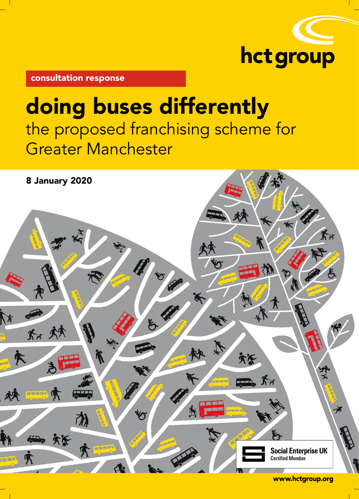

consultation response

# doing buses differently the proposed franchising scheme for Greater Manchester

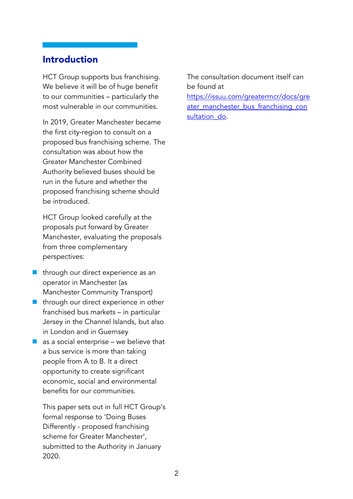# Introduction

HCT Group supports bus franchising. We believe it will be of huge benefit to our communities – particularly the most vulnerable in our communities.

In 2019, Greater Manchester became the first city-region to consult on a proposed bus franchising scheme. The consultation was about how the Greater Manchester Combined Authority believed buses should be run in the future and whether the proposed franchising scheme should be introduced.

HCT Group looked carefully at the proposals put forward by Greater Manchester, evaluating the proposals from three complementary perspectives:

- **n** through our direct experience as an operator in Manchester (as Manchester Community Transport)
- through our direct experience in other franchised bus markets – in particular Jersey in the Channel Islands, but also in London and in Guernsey
- $\blacksquare$  as a social enterprise we believe that a bus service is more than taking people from A to B. It a direct opportunity to create significant economic, social and environmental benefits for our communities.

This paper sets out in full HCT Group's formal response to 'Doing Buses Differently - proposed franchising scheme for Greater Manchester', submitted to the Authority in January 2020.

The consultation document itself can be found at [https://issuu.com/greatermcr/docs/gre](https://issuu.com/greatermcr/docs/greater_manchester_bus_franchising_consultation_do) [ater\\_manchester\\_bus\\_franchising\\_con](https://issuu.com/greatermcr/docs/greater_manchester_bus_franchising_consultation_do) sultation do.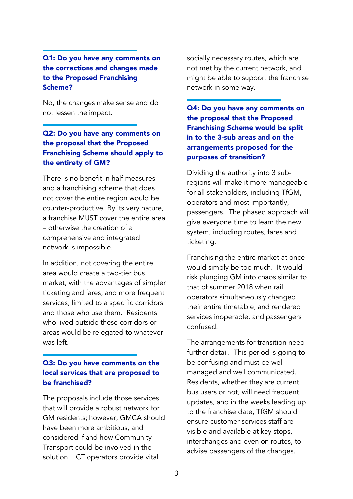## Q1: Do you have any comments on the corrections and changes made to the Proposed Franchising Scheme?

No, the changes make sense and do not lessen the impact.

# Q2: Do you have any comments on the proposal that the Proposed Franchising Scheme should apply to the entirety of GM?

There is no benefit in half measures and a franchising scheme that does not cover the entire region would be counter-productive. By its very nature, a franchise MUST cover the entire area – otherwise the creation of a comprehensive and integrated network is impossible.

In addition, not covering the entire area would create a two-tier bus market, with the advantages of simpler ticketing and fares, and more frequent services, limited to a specific corridors and those who use them. Residents who lived outside these corridors or areas would be relegated to whatever was left.

## Q3: Do you have comments on the local services that are proposed to be franchised?

The proposals include those services that will provide a robust network for GM residents; however, GMCA should have been more ambitious, and considered if and how Community Transport could be involved in the solution. CT operators provide vital

socially necessary routes, which are not met by the current network, and might be able to support the franchise network in some way.

Q4: Do you have any comments on the proposal that the Proposed Franchising Scheme would be split in to the 3-sub areas and on the arrangements proposed for the purposes of transition?

Dividing the authority into 3 subregions will make it more manageable for all stakeholders, including TfGM, operators and most importantly, passengers. The phased approach will give everyone time to learn the new system, including routes, fares and ticketing.

Franchising the entire market at once would simply be too much. It would risk plunging GM into chaos similar to that of summer 2018 when rail operators simultaneously changed their entire timetable, and rendered services inoperable, and passengers confused.

The arrangements for transition need further detail. This period is going to be confusing and must be well managed and well communicated. Residents, whether they are current bus users or not, will need frequent updates, and in the weeks leading up to the franchise date, TfGM should ensure customer services staff are visible and available at key stops, interchanges and even on routes, to advise passengers of the changes.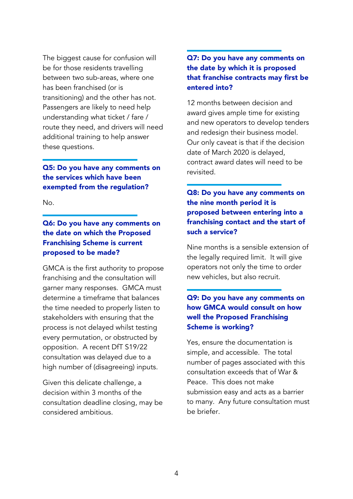The biggest cause for confusion will be for those residents travelling between two sub-areas, where one has been franchised (or is transitioning) and the other has not. Passengers are likely to need help understanding what ticket / fare / route they need, and drivers will need additional training to help answer these questions.

## Q5: Do you have any comments on the services which have been exempted from the regulation?

No.

## Q6: Do you have any comments on the date on which the Proposed Franchising Scheme is current proposed to be made?

GMCA is the first authority to propose franchising and the consultation will garner many responses. GMCA must determine a timeframe that balances the time needed to properly listen to stakeholders with ensuring that the process is not delayed whilst testing every permutation, or obstructed by opposition. A recent DfT S19/22 consultation was delayed due to a high number of (disagreeing) inputs.

Given this delicate challenge, a decision within 3 months of the consultation deadline closing, may be considered ambitious.

## Q7: Do you have any comments on the date by which it is proposed that franchise contracts may first be entered into?

12 months between decision and award gives ample time for existing and new operators to develop tenders and redesign their business model. Our only caveat is that if the decision date of March 2020 is delayed, contract award dates will need to be revisited.

Q8: Do you have any comments on the nine month period it is proposed between entering into a franchising contact and the start of such a service?

Nine months is a sensible extension of the legally required limit. It will give operators not only the time to order new vehicles, but also recruit.

# Q9: Do you have any comments on how GMCA would consult on how well the Proposed Franchising Scheme is working?

Yes, ensure the documentation is simple, and accessible. The total number of pages associated with this consultation exceeds that of War & Peace. This does not make submission easy and acts as a barrier to many. Any future consultation must be briefer.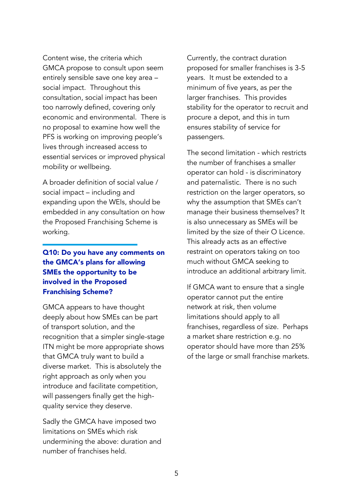Content wise, the criteria which GMCA propose to consult upon seem entirely sensible save one key area – social impact. Throughout this consultation, social impact has been too narrowly defined, covering only economic and environmental. There is no proposal to examine how well the PFS is working on improving people's lives through increased access to essential services or improved physical mobility or wellbeing.

A broader definition of social value / social impact – including and expanding upon the WEIs, should be embedded in any consultation on how the Proposed Franchising Scheme is working.

# Q10: Do you have any comments on the GMCA's plans for allowing SMEs the opportunity to be involved in the Proposed Franchising Scheme?

GMCA appears to have thought deeply about how SMEs can be part of transport solution, and the recognition that a simpler single-stage ITN might be more appropriate shows that GMCA truly want to build a diverse market. This is absolutely the right approach as only when you introduce and facilitate competition, will passengers finally get the highquality service they deserve.

Sadly the GMCA have imposed two limitations on SMEs which risk undermining the above: duration and number of franchises held.

Currently, the contract duration proposed for smaller franchises is 3-5 years. It must be extended to a minimum of five years, as per the larger franchises. This provides stability for the operator to recruit and procure a depot, and this in turn ensures stability of service for passengers.

The second limitation - which restricts the number of franchises a smaller operator can hold - is discriminatory and paternalistic. There is no such restriction on the larger operators, so why the assumption that SMEs can't manage their business themselves? It is also unnecessary as SMEs will be limited by the size of their O Licence. This already acts as an effective restraint on operators taking on too much without GMCA seeking to introduce an additional arbitrary limit.

If GMCA want to ensure that a single operator cannot put the entire network at risk, then volume limitations should apply to all franchises, regardless of size. Perhaps a market share restriction e.g. no operator should have more than 25% of the large or small franchise markets.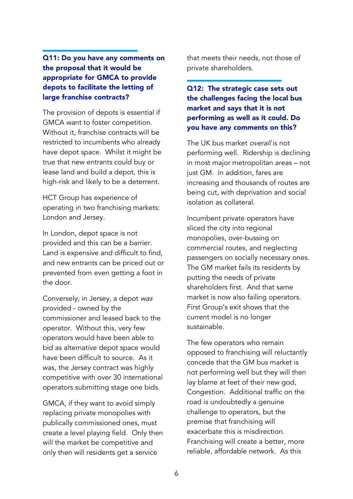## Q11: Do you have any comments on the proposal that it would be appropriate for GMCA to provide depots to facilitate the letting of large franchise contracts?

The provision of depots is essential if GMCA want to foster competition. Without it, franchise contracts will be restricted to incumbents who already have depot space. Whilst it might be true that new entrants could buy or lease land and build a depot, this is high-risk and likely to be a deterrent.

HCT Group has experience of operating in two franchising markets: London and Jersey.

In London, depot space is not provided and this can be a barrier. Land is expensive and difficult to find, and new entrants can be priced out or prevented from even getting a foot in the door.

Conversely, in Jersey, a depot was provided - owned by the commissioner and leased back to the operator. Without this, very few operators would have been able to bid as alternative depot space would have been difficult to source. As it was, the Jersey contract was highly competitive with over 30 international operators submitting stage one bids.

GMCA, if they want to avoid simply replacing private monopolies with publically commissioned ones, must create a level playing field. Only then will the market be competitive and only then will residents get a service

that meets their needs, not those of private shareholders.

## Q12: The strategic case sets out the challenges facing the local bus market and says that it is not performing as well as it could. Do you have any comments on this?

The UK bus market *overall* is not performing well. Ridership is declining in most major metropolitan areas – not just GM. In addition, fares are increasing and thousands of routes are being cut, with deprivation and social isolation as collateral.

Incumbent private operators have sliced the city into regional monopolies, over-bussing on commercial routes, and neglecting passengers on socially necessary ones. The GM market fails its residents by putting the needs of private shareholders first. And that same market is now also failing operators. First Group's exit shows that the current model is no longer sustainable.

The few operators who remain opposed to franchising will reluctantly concede that the GM bus market is not performing well but they will then lay blame at feet of their new god, Congestion. Additional traffic on the road is undoubtedly a genuine challenge to operators, but the premise that franchising will exacerbate this is misdirection. Franchising will create a better, more reliable, affordable network. As this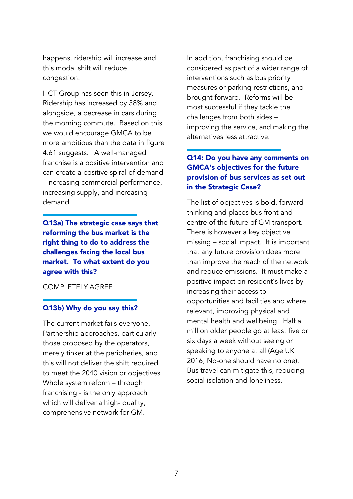happens, ridership will increase and this modal shift will reduce congestion.

HCT Group has seen this in Jersey. Ridership has increased by 38% and alongside, a decrease in cars during the morning commute. Based on this we would encourage GMCA to be more ambitious than the data in figure 4.61 suggests. A well-managed franchise is a positive intervention and can create a positive spiral of demand - increasing commercial performance, increasing supply, and increasing demand.

Q13a) The strategic case says that reforming the bus market is the right thing to do to address the challenges facing the local bus market. To what extent do you agree with this?

#### COMPLETELY AGREE

#### Q13b) Why do you say this?

The current market fails everyone. Partnership approaches, particularly those proposed by the operators, merely tinker at the peripheries, and this will not deliver the shift required to meet the 2040 vision or objectives. Whole system reform – through franchising - is the only approach which will deliver a high- quality, comprehensive network for GM.

In addition, franchising should be considered as part of a wider range of interventions such as bus priority measures or parking restrictions, and brought forward. Reforms will be most successful if they tackle the challenges from both sides – improving the service, and making the alternatives less attractive.

## Q14: Do you have any comments on GMCA's objectives for the future provision of bus services as set out in the Strategic Case?

The list of objectives is bold, forward thinking and places bus front and centre of the future of GM transport. There is however a key objective missing – social impact. It is important that any future provision does more than improve the reach of the network and reduce emissions. It must make a positive impact on resident's lives by increasing their access to opportunities and facilities and where relevant, improving physical and mental health and wellbeing. Half a million older people go at least five or six days a week without seeing or speaking to anyone at all (Age UK 2016, No-one should have no one). Bus travel can mitigate this, reducing social isolation and loneliness.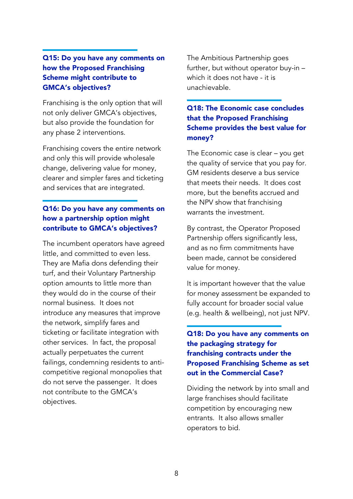## Q15: Do you have any comments on how the Proposed Franchising Scheme might contribute to GMCA's objectives?

Franchising is the only option that will not only deliver GMCA's objectives, but also provide the foundation for any phase 2 interventions.

Franchising covers the entire network and only this will provide wholesale change, delivering value for money, clearer and simpler fares and ticketing and services that are integrated.

## Q16: Do you have any comments on how a partnership option might contribute to GMCA's objectives?

The incumbent operators have agreed little, and committed to even less. They are Mafia dons defending their turf, and their Voluntary Partnership option amounts to little more than they would do in the course of their normal business. It does not introduce any measures that improve the network, simplify fares and ticketing or facilitate integration with other services. In fact, the proposal actually perpetuates the current failings, condemning residents to anticompetitive regional monopolies that do not serve the passenger. It does not contribute to the GMCA's objectives.

The Ambitious Partnership goes further, but without operator buy-in – which it does not have - it is unachievable.

## Q18: The Economic case concludes that the Proposed Franchising Scheme provides the best value for money?

The Economic case is clear – you get the quality of service that you pay for. GM residents deserve a bus service that meets their needs. It does cost more, but the benefits accrued and the NPV show that franchising warrants the investment.

By contrast, the Operator Proposed Partnership offers significantly less, and as no firm commitments have been made, cannot be considered value for money.

It is important however that the value for money assessment be expanded to fully account for broader social value (e.g. health & wellbeing), not just NPV.

# Q18: Do you have any comments on the packaging strategy for franchising contracts under the Proposed Franchising Scheme as set out in the Commercial Case?

Dividing the network by into small and large franchises should facilitate competition by encouraging new entrants. It also allows smaller operators to bid.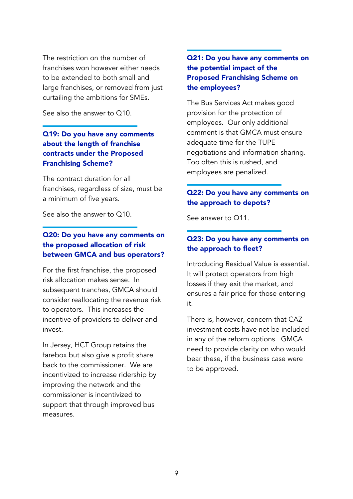The restriction on the number of franchises won however either needs to be extended to both small and large franchises, or removed from just curtailing the ambitions for SMEs.

See also the answer to Q10.

## Q19: Do you have any comments about the length of franchise contracts under the Proposed Franchising Scheme?

The contract duration for all franchises, regardless of size, must be a minimum of five years.

See also the answer to Q10.

## Q20: Do you have any comments on the proposed allocation of risk between GMCA and bus operators?

For the first franchise, the proposed risk allocation makes sense. In subsequent tranches, GMCA should consider reallocating the revenue risk to operators. This increases the incentive of providers to deliver and invest.

In Jersey, HCT Group retains the farebox but also give a profit share back to the commissioner. We are incentivized to increase ridership by improving the network and the commissioner is incentivized to support that through improved bus measures.

## Q21: Do you have any comments on the potential impact of the Proposed Franchising Scheme on the employees?

The Bus Services Act makes good provision for the protection of employees. Our only additional comment is that GMCA must ensure adequate time for the TUPE negotiations and information sharing. Too often this is rushed, and employees are penalized.

## Q22: Do you have any comments on the approach to depots?

See answer to Q11.

#### Q23: Do you have any comments on the approach to fleet?

Introducing Residual Value is essential. It will protect operators from high losses if they exit the market, and ensures a fair price for those entering it.

There is, however, concern that CAZ investment costs have not be included in any of the reform options. GMCA need to provide clarity on who would bear these, if the business case were to be approved.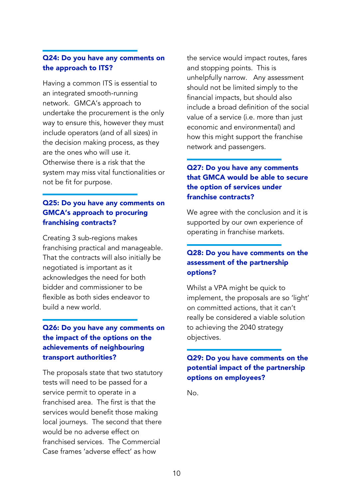## Q24: Do you have any comments on the approach to ITS?

Having a common ITS is essential to an integrated smooth-running network. GMCA's approach to undertake the procurement is the only way to ensure this, however they must include operators (and of all sizes) in the decision making process, as they are the ones who will use it. Otherwise there is a risk that the system may miss vital functionalities or not be fit for purpose.

# Q25: Do you have any comments on GMCA's approach to procuring franchising contracts?

Creating 3 sub-regions makes franchising practical and manageable. That the contracts will also initially be negotiated is important as it acknowledges the need for both bidder and commissioner to be flexible as both sides endeavor to build a new world.

## Q26: Do you have any comments on the impact of the options on the achievements of neighbouring transport authorities?

The proposals state that two statutory tests will need to be passed for a service permit to operate in a franchised area. The first is that the services would benefit those making local journeys. The second that there would be no adverse effect on franchised services. The Commercial Case frames 'adverse effect' as how

the service would impact routes, fares and stopping points. This is unhelpfully narrow. Any assessment should not be limited simply to the financial impacts, but should also include a broad definition of the social value of a service (i.e. more than just economic and environmental) and how this might support the franchise network and passengers.

# Q27: Do you have any comments that GMCA would be able to secure the option of services under franchise contracts?

We agree with the conclusion and it is supported by our own experience of operating in franchise markets.

## Q28: Do you have comments on the assessment of the partnership options?

Whilst a VPA might be quick to implement, the proposals are so 'light' on committed actions, that it can't really be considered a viable solution to achieving the 2040 strategy objectives.

## Q29: Do you have comments on the potential impact of the partnership options on employees?

No.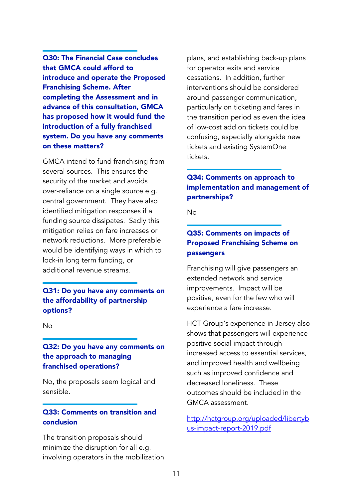Q30: The Financial Case concludes that GMCA could afford to introduce and operate the Proposed Franchising Scheme. After completing the Assessment and in advance of this consultation, GMCA has proposed how it would fund the introduction of a fully franchised system. Do you have any comments on these matters?

GMCA intend to fund franchising from several sources. This ensures the security of the market and avoids over-reliance on a single source e.g. central government. They have also identified mitigation responses if a funding source dissipates. Sadly this mitigation relies on fare increases or network reductions. More preferable would be identifying ways in which to lock-in long term funding, or additional revenue streams.

#### Q31: Do you have any comments on the affordability of partnership options?

No

## Q32: Do you have any comments on the approach to managing franchised operations?

No, the proposals seem logical and sensible.

## Q33: Comments on transition and conclusion

The transition proposals should minimize the disruption for all e.g. involving operators in the mobilization plans, and establishing back-up plans for operator exits and service cessations. In addition, further interventions should be considered around passenger communication, particularly on ticketing and fares in the transition period as even the idea of low-cost add on tickets could be confusing, especially alongside new tickets and existing SystemOne tickets.

# Q34: Comments on approach to implementation and management of partnerships?

No

# Q35: Comments on impacts of Proposed Franchising Scheme on passengers

Franchising will give passengers an extended network and service improvements. Impact will be positive, even for the few who will experience a fare increase.

HCT Group's experience in Jersey also shows that passengers will experience positive social impact through increased access to essential services, and improved health and wellbeing such as improved confidence and decreased loneliness. These outcomes should be included in the GMCA assessment.

[http://hctgroup.org/uploaded/libertyb](http://hctgroup.org/uploaded/libertybus-impact-report-2019.pdf) [us-impact-report-2019.pdf](http://hctgroup.org/uploaded/libertybus-impact-report-2019.pdf)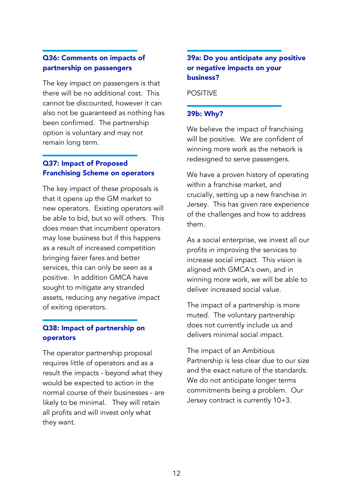## Q36: Comments on impacts of partnership on passengers

The key impact on passengers is that there will be no additional cost. This cannot be discounted, however it can also not be guaranteed as nothing has been confirmed. The partnership option is voluntary and may not remain long term.

# Q37: Impact of Proposed Franchising Scheme on operators

The key impact of these proposals is that it opens up the GM market to new operators. Existing operators will be able to bid, but so will others. This does mean that incumbent operators may lose business but if this happens as a result of increased competition bringing fairer fares and better services, this can only be seen as a positive. In addition GMCA have sought to mitigate any stranded assets, reducing any negative impact of exiting operators.

# Q38: Impact of partnership on operators

The operator partnership proposal requires little of operators and as a result the impacts - beyond what they would be expected to action in the normal course of their businesses - are likely to be minimal. They will retain all profits and will invest only what they want.

## 39a: Do you anticipate any positive or negative impacts on your business?

POSITIVE

## 39b: Why?

We believe the impact of franchising will be positive. We are confident of winning more work as the network is redesigned to serve passengers.

We have a proven history of operating within a franchise market, and crucially, setting up a new franchise in Jersey. This has given rare experience of the challenges and how to address them.

As a social enterprise, we invest all our profits in improving the services to increase social impact. This vision is aligned with GMCA's own, and in winning more work, we will be able to deliver increased social value.

The impact of a partnership is more muted. The voluntary partnership does not currently include us and delivers minimal social impact.

The impact of an Ambitious Partnership is less clear due to our size and the exact nature of the standards. We do not anticipate longer terms commitments being a problem. Our Jersey contract is currently 10+3.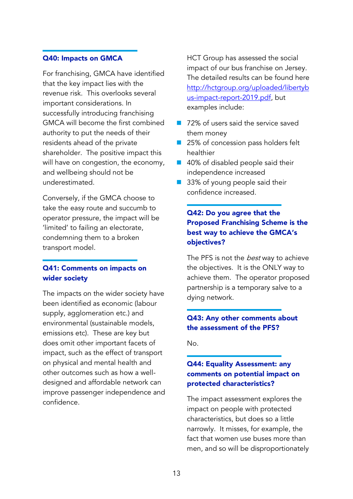#### Q40: Impacts on GMCA

For franchising, GMCA have identified that the key impact lies with the revenue risk. This overlooks several important considerations. In successfully introducing franchising GMCA will become the first combined authority to put the needs of their residents ahead of the private shareholder. The positive impact this will have on congestion, the economy, and wellbeing should not be underestimated.

Conversely, if the GMCA choose to take the easy route and succumb to operator pressure, the impact will be 'limited' to failing an electorate, condemning them to a broken transport model.

#### Q41: Comments on impacts on wider society

The impacts on the wider society have been identified as economic (labour supply, agglomeration etc.) and environmental (sustainable models, emissions etc). These are key but does omit other important facets of impact, such as the effect of transport on physical and mental health and other outcomes such as how a welldesigned and affordable network can improve passenger independence and confidence.

HCT Group has assessed the social impact of our bus franchise on Jersey. The detailed results can be found here [http://hctgroup.org/uploaded/libertyb](http://hctgroup.org/uploaded/libertybus-impact-report-2019.pdf) [us-impact-report-2019.pdf,](http://hctgroup.org/uploaded/libertybus-impact-report-2019.pdf) but examples include:

- 72% of users said the service saved them money
- 25% of concession pass holders felt healthier
- 40% of disabled people said their independence increased
- 33% of young people said their confidence increased.

# Q42: Do you agree that the Proposed Franchising Scheme is the best way to achieve the GMCA's objectives?

The PFS is not the *best* way to achieve the objectives. It is the ONLY way to achieve them. The operator proposed partnership is a temporary salve to a dying network.

## Q43: Any other comments about the assessment of the PFS?

No.

## Q44: Equality Assessment: any comments on potential impact on protected characteristics?

The impact assessment explores the impact on people with protected characteristics, but does so a little narrowly. It misses, for example, the fact that women use buses more than men, and so will be disproportionately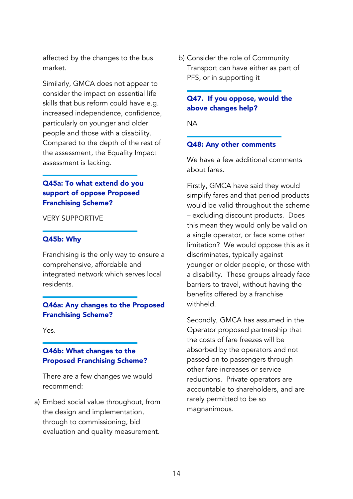affected by the changes to the bus market.

Similarly, GMCA does not appear to consider the impact on essential life skills that bus reform could have e.g. increased independence, confidence, particularly on younger and older people and those with a disability. Compared to the depth of the rest of the assessment, the Equality Impact assessment is lacking.

## Q45a: To what extend do you support of oppose Proposed Franchising Scheme?

#### VERY SUPPORTIVE

#### Q45b: Why

Franchising is the only way to ensure a comprehensive, affordable and integrated network which serves local residents.

#### Q46a: Any changes to the Proposed Franchising Scheme?

Yes.

## Q46b: What changes to the Proposed Franchising Scheme?

There are a few changes we would recommend:

a) Embed social value throughout, from the design and implementation, through to commissioning, bid evaluation and quality measurement.

b) Consider the role of Community Transport can have either as part of PFS, or in supporting it

## Q47. If you oppose, would the above changes help?

NA

#### Q48: Any other comments

We have a few additional comments about fares.

Firstly, GMCA have said they would simplify fares and that period products would be valid throughout the scheme – excluding discount products. Does this mean they would only be valid on a single operator, or face some other limitation? We would oppose this as it discriminates, typically against younger or older people, or those with a disability. These groups already face barriers to travel, without having the benefits offered by a franchise withheld.

Secondly, GMCA has assumed in the Operator proposed partnership that the costs of fare freezes will be absorbed by the operators and not passed on to passengers through other fare increases or service reductions. Private operators are accountable to shareholders, and are rarely permitted to be so magnanimous.